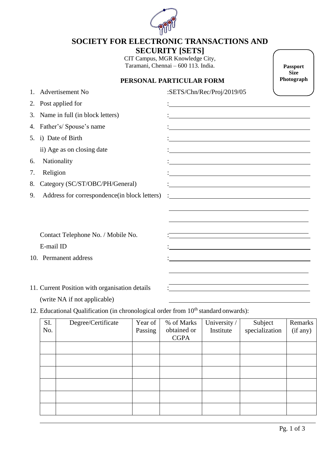

## **SOCIETY FOR ELECTRONIC TRANSACTIONS AND SECURITY [SETS]**

CIT Campus, MGR Knowledge City, Taramani, Chennai – 600 113. India.

**Passport Size Photograph**

## **PERSONAL PARTICULAR FORM**

|    | <b>Advertisement No</b>                                                        | :SETS/Chn/Rec/Proj/2019/05                                                                                                                                                                                                    |
|----|--------------------------------------------------------------------------------|-------------------------------------------------------------------------------------------------------------------------------------------------------------------------------------------------------------------------------|
|    | 2. Post applied for                                                            |                                                                                                                                                                                                                               |
|    | 3. Name in full (in block letters)                                             |                                                                                                                                                                                                                               |
|    | 4. Father's/Spouse's name                                                      | <u> 1989 - Johann Barn, mars ann an t-Amhain an t-Amhain an t-Amhain an t-Amhain an t-Amhain an t-Amhain an t-Amh</u>                                                                                                         |
|    | 5. i) Date of Birth                                                            |                                                                                                                                                                                                                               |
|    | ii) Age as on closing date                                                     | <u> 1989 - Johann Barn, mars ann an t-Amhain an t-Amhain an t-Amhain an t-Amhain an t-Amhain an t-Amhain an t-Amh</u>                                                                                                         |
| 6. | Nationality                                                                    | <u> 1989 - Johann Barn, amerikansk politiker (d. 1989)</u>                                                                                                                                                                    |
| 7. | Religion                                                                       | <u> 1989 - Johann Stein, mars an deus Amerikaansk kommunister (</u>                                                                                                                                                           |
| 8. | Category (SC/ST/OBC/PH/General)                                                | <u> 1980 - Johann Barn, mars ann an t-Amhain Aonaich an t-Aonaich an t-Aonaich ann an t-Aonaich ann an t-Aonaich</u>                                                                                                          |
| 9. | Address for correspondence (in block letters)                                  |                                                                                                                                                                                                                               |
|    |                                                                                | <u> 1989 - Johann Stoff, amerikansk politiker (d. 1989)</u>                                                                                                                                                                   |
|    | Contact Telephone No. / Mobile No.                                             | <u> 1989 - Johann Barn, mars ann an t-Amhain ann an t-Amhain an t-Amhain an t-Amhain an t-Amhain an t-Amhain an t-</u>                                                                                                        |
|    | E-mail ID                                                                      |                                                                                                                                                                                                                               |
|    | 10. Permanent address                                                          |                                                                                                                                                                                                                               |
|    |                                                                                | the control of the control of the control of the control of the control of the control of the control of the control of the control of the control of the control of the control of the control of the control of the control |
|    | 11. Current Position with organisation details<br>(write NA if not applicable) | <u> 1989 - Johann Stoff, deutscher Stoffen und der Stoffen und der Stoffen und der Stoffen und der Stoffen und der</u><br><u> 1989 - Andrea Barbara, Amerikaansk politiker (d. 1989)</u>                                      |

12. Educational Qualification (in chronological order from  $10<sup>th</sup>$  standard onwards):

| SI.<br>No. | Degree/Certificate | Year of<br>Passing | % of Marks<br>obtained or<br><b>CGPA</b> | University /<br>Institute | Subject<br>specialization | Remarks<br>(if any) |
|------------|--------------------|--------------------|------------------------------------------|---------------------------|---------------------------|---------------------|
|            |                    |                    |                                          |                           |                           |                     |
|            |                    |                    |                                          |                           |                           |                     |
|            |                    |                    |                                          |                           |                           |                     |
|            |                    |                    |                                          |                           |                           |                     |
|            |                    |                    |                                          |                           |                           |                     |
|            |                    |                    |                                          |                           |                           |                     |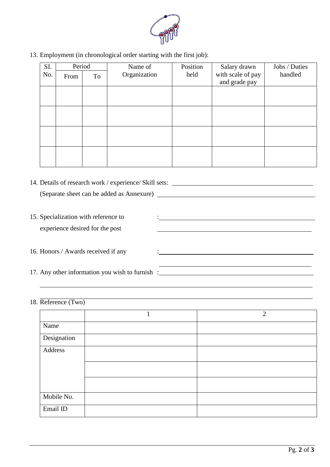

13. Employment (in chronological order starting with the first job):

| SI. | Period |    | Name of      | Position | Salary drawn                       | Jobs / Duties |  |
|-----|--------|----|--------------|----------|------------------------------------|---------------|--|
| No. | From   | To | Organization | held     | with scale of pay<br>and grade pay | handled       |  |
|     |        |    |              |          |                                    |               |  |
|     |        |    |              |          |                                    |               |  |
|     |        |    |              |          |                                    |               |  |
|     |        |    |              |          |                                    |               |  |
|     |        |    |              |          |                                    |               |  |
|     |        |    |              |          |                                    |               |  |

| 14. Details of research work / experience/ Skill sets: __________________________ |  |  |
|-----------------------------------------------------------------------------------|--|--|
|                                                                                   |  |  |
|                                                                                   |  |  |
| 15. Specialization with reference to                                              |  |  |
| experience desired for the post                                                   |  |  |
|                                                                                   |  |  |
| 16. Honors / Awards received if any                                               |  |  |
|                                                                                   |  |  |
| 17. Any other information you wish to furnish:                                    |  |  |
|                                                                                   |  |  |

18. Reference (Two)

|             | $\overline{2}$ |
|-------------|----------------|
| Name        |                |
| Designation |                |
| Address     |                |
|             |                |
|             |                |
| Mobile No.  |                |
| Email ID    |                |